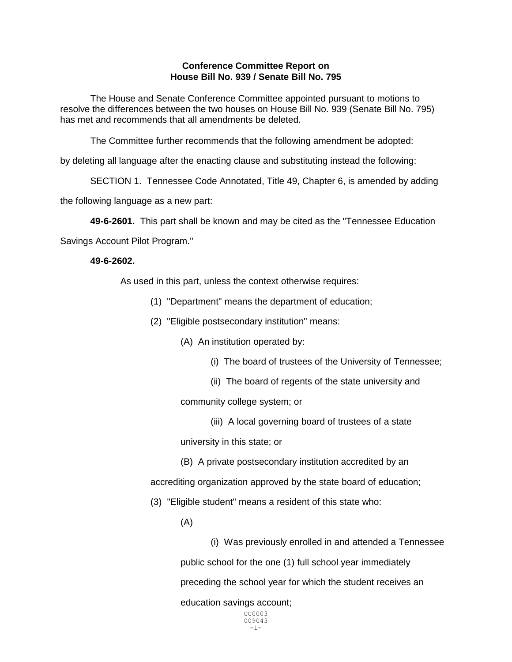# **Conference Committee Report on House Bill No. 939 / Senate Bill No. 795**

The House and Senate Conference Committee appointed pursuant to motions to resolve the differences between the two houses on House Bill No. 939 (Senate Bill No. 795) has met and recommends that all amendments be deleted.

The Committee further recommends that the following amendment be adopted:

by deleting all language after the enacting clause and substituting instead the following:

SECTION 1. Tennessee Code Annotated, Title 49, Chapter 6, is amended by adding

the following language as a new part:

**49-6-2601.** This part shall be known and may be cited as the "Tennessee Education

Savings Account Pilot Program."

## **49-6-2602.**

As used in this part, unless the context otherwise requires:

- (1) "Department" means the department of education;
- (2) "Eligible postsecondary institution" means:
	- (A) An institution operated by:
		- (i) The board of trustees of the University of Tennessee;
		- (ii) The board of regents of the state university and

community college system; or

(iii) A local governing board of trustees of a state

university in this state; or

(B) A private postsecondary institution accredited by an

accrediting organization approved by the state board of education;

(3) "Eligible student" means a resident of this state who:

(A)

(i) Was previously enrolled in and attended a Tennessee public school for the one (1) full school year immediately preceding the school year for which the student receives an education savings account;

> CC0003 009043 -1-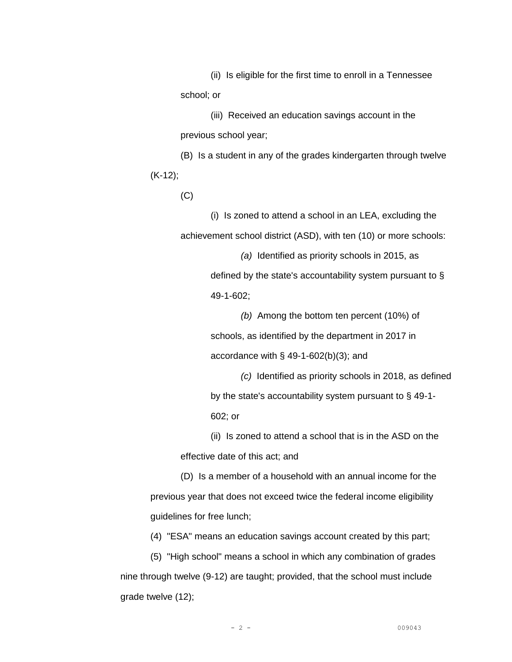(ii) Is eligible for the first time to enroll in a Tennessee school; or

(iii) Received an education savings account in the previous school year;

(B) Is a student in any of the grades kindergarten through twelve (K-12);

(C)

(i) Is zoned to attend a school in an LEA, excluding the achievement school district (ASD), with ten (10) or more schools:

> *(a)* Identified as priority schools in 2015, as defined by the state's accountability system pursuant to § 49-1-602;

*(b)* Among the bottom ten percent (10%) of schools, as identified by the department in 2017 in accordance with  $\S$  49-1-602(b)(3); and

*(c)* Identified as priority schools in 2018, as defined by the state's accountability system pursuant to § 49-1- 602; or

(ii) Is zoned to attend a school that is in the ASD on the effective date of this act; and

(D) Is a member of a household with an annual income for the previous year that does not exceed twice the federal income eligibility guidelines for free lunch;

(4) "ESA" means an education savings account created by this part;

(5) "High school" means a school in which any combination of grades nine through twelve (9-12) are taught; provided, that the school must include grade twelve (12);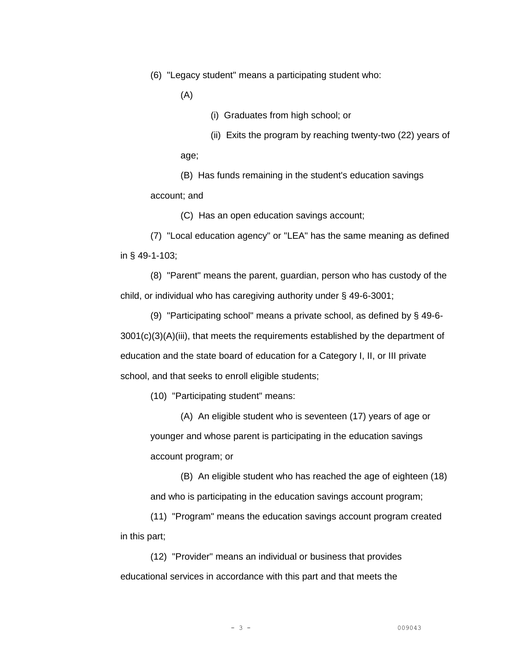(6) "Legacy student" means a participating student who:

(A)

(i) Graduates from high school; or

(ii) Exits the program by reaching twenty-two (22) years of age;

(B) Has funds remaining in the student's education savings account; and

(C) Has an open education savings account;

(7) "Local education agency" or "LEA" has the same meaning as defined in § 49-1-103;

(8) "Parent" means the parent, guardian, person who has custody of the child, or individual who has caregiving authority under § 49-6-3001;

(9) "Participating school" means a private school, as defined by § 49-6- 3001(c)(3)(A)(iii), that meets the requirements established by the department of education and the state board of education for a Category I, II, or III private school, and that seeks to enroll eligible students;

(10) "Participating student" means:

(A) An eligible student who is seventeen (17) years of age or younger and whose parent is participating in the education savings account program; or

(B) An eligible student who has reached the age of eighteen (18) and who is participating in the education savings account program;

(11) "Program" means the education savings account program created in this part;

(12) "Provider" means an individual or business that provides educational services in accordance with this part and that meets the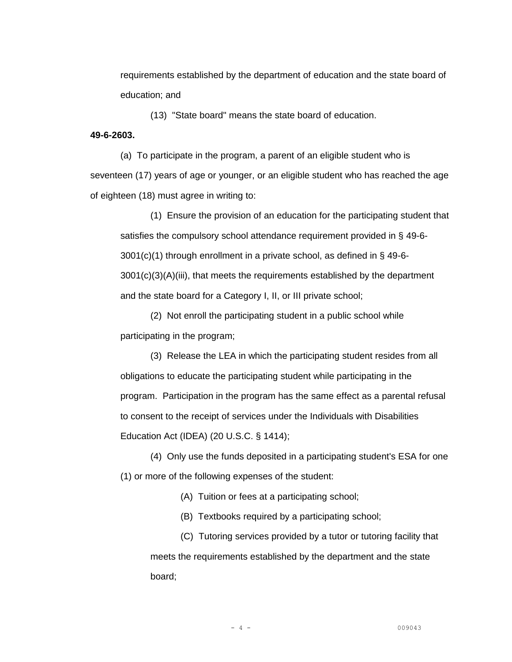requirements established by the department of education and the state board of education; and

(13) "State board" means the state board of education.

## **49-6-2603.**

(a) To participate in the program, a parent of an eligible student who is seventeen (17) years of age or younger, or an eligible student who has reached the age of eighteen (18) must agree in writing to:

(1) Ensure the provision of an education for the participating student that satisfies the compulsory school attendance requirement provided in § 49-6- 3001(c)(1) through enrollment in a private school, as defined in § 49-6- 3001(c)(3)(A)(iii), that meets the requirements established by the department and the state board for a Category I, II, or III private school;

(2) Not enroll the participating student in a public school while participating in the program;

(3) Release the LEA in which the participating student resides from all obligations to educate the participating student while participating in the program. Participation in the program has the same effect as a parental refusal to consent to the receipt of services under the Individuals with Disabilities Education Act (IDEA) (20 U.S.C. § 1414);

(4) Only use the funds deposited in a participating student's ESA for one (1) or more of the following expenses of the student:

(A) Tuition or fees at a participating school;

(B) Textbooks required by a participating school;

(C) Tutoring services provided by a tutor or tutoring facility that meets the requirements established by the department and the state board;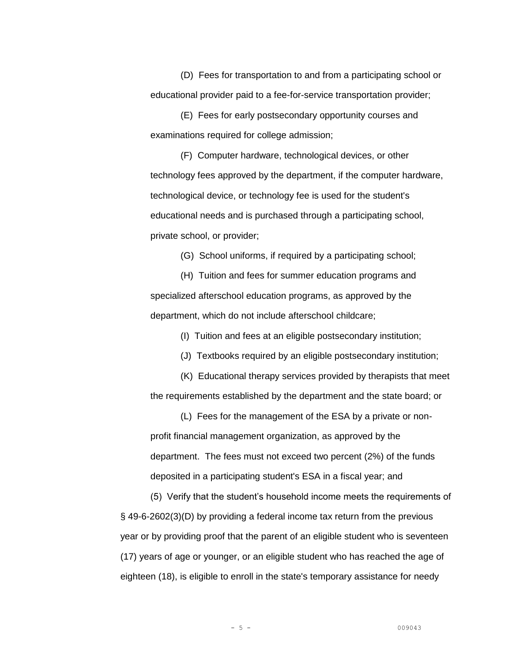(D) Fees for transportation to and from a participating school or educational provider paid to a fee-for-service transportation provider;

(E) Fees for early postsecondary opportunity courses and examinations required for college admission;

(F) Computer hardware, technological devices, or other technology fees approved by the department, if the computer hardware, technological device, or technology fee is used for the student's educational needs and is purchased through a participating school, private school, or provider;

(G) School uniforms, if required by a participating school;

(H) Tuition and fees for summer education programs and specialized afterschool education programs, as approved by the department, which do not include afterschool childcare;

(I) Tuition and fees at an eligible postsecondary institution;

(J) Textbooks required by an eligible postsecondary institution;

(K) Educational therapy services provided by therapists that meet the requirements established by the department and the state board; or

(L) Fees for the management of the ESA by a private or nonprofit financial management organization, as approved by the department. The fees must not exceed two percent (2%) of the funds deposited in a participating student's ESA in a fiscal year; and

(5) Verify that the student's household income meets the requirements of § 49-6-2602(3)(D) by providing a federal income tax return from the previous year or by providing proof that the parent of an eligible student who is seventeen (17) years of age or younger, or an eligible student who has reached the age of eighteen (18), is eligible to enroll in the state's temporary assistance for needy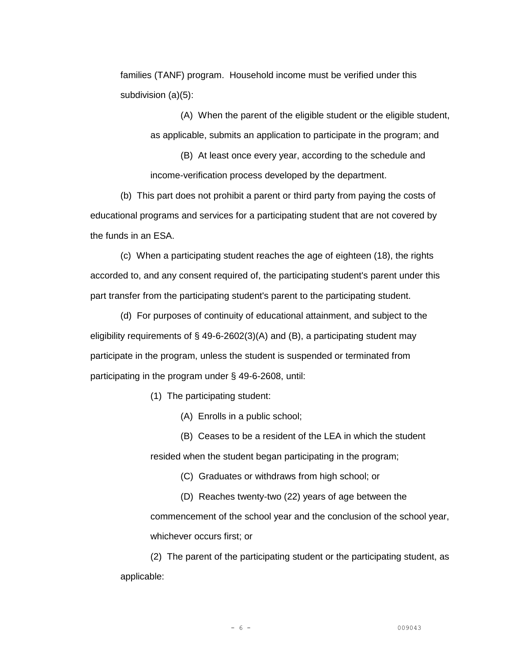families (TANF) program. Household income must be verified under this subdivision (a)(5):

> (A) When the parent of the eligible student or the eligible student, as applicable, submits an application to participate in the program; and

(B) At least once every year, according to the schedule and income-verification process developed by the department.

(b) This part does not prohibit a parent or third party from paying the costs of educational programs and services for a participating student that are not covered by the funds in an ESA.

(c) When a participating student reaches the age of eighteen (18), the rights accorded to, and any consent required of, the participating student's parent under this part transfer from the participating student's parent to the participating student.

(d) For purposes of continuity of educational attainment, and subject to the eligibility requirements of § 49-6-2602(3)(A) and (B), a participating student may participate in the program, unless the student is suspended or terminated from participating in the program under § 49-6-2608, until:

(1) The participating student:

(A) Enrolls in a public school;

(B) Ceases to be a resident of the LEA in which the student resided when the student began participating in the program;

(C) Graduates or withdraws from high school; or

(D) Reaches twenty-two (22) years of age between the commencement of the school year and the conclusion of the school year, whichever occurs first; or

(2) The parent of the participating student or the participating student, as applicable: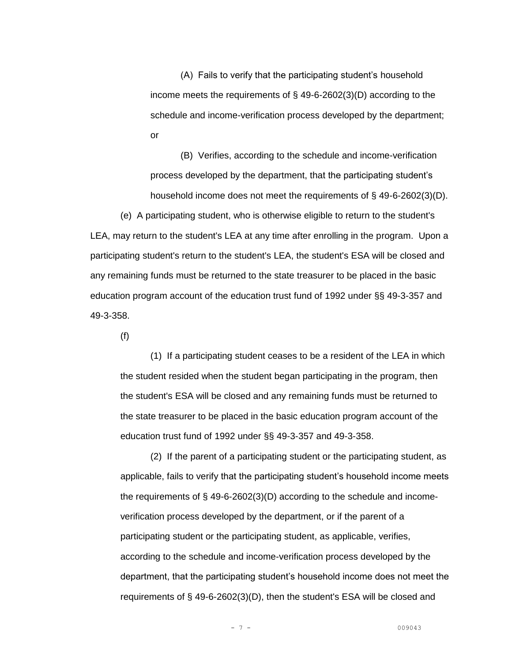(A) Fails to verify that the participating student's household income meets the requirements of § 49-6-2602(3)(D) according to the schedule and income-verification process developed by the department; or

(B) Verifies, according to the schedule and income-verification process developed by the department, that the participating student's household income does not meet the requirements of § 49-6-2602(3)(D).

(e) A participating student, who is otherwise eligible to return to the student's LEA, may return to the student's LEA at any time after enrolling in the program. Upon a participating student's return to the student's LEA, the student's ESA will be closed and any remaining funds must be returned to the state treasurer to be placed in the basic education program account of the education trust fund of 1992 under §§ 49-3-357 and 49-3-358.

(f)

(1) If a participating student ceases to be a resident of the LEA in which the student resided when the student began participating in the program, then the student's ESA will be closed and any remaining funds must be returned to the state treasurer to be placed in the basic education program account of the education trust fund of 1992 under §§ 49-3-357 and 49-3-358.

(2) If the parent of a participating student or the participating student, as applicable, fails to verify that the participating student's household income meets the requirements of § 49-6-2602(3)(D) according to the schedule and incomeverification process developed by the department, or if the parent of a participating student or the participating student, as applicable, verifies, according to the schedule and income-verification process developed by the department, that the participating student's household income does not meet the requirements of § 49-6-2602(3)(D), then the student's ESA will be closed and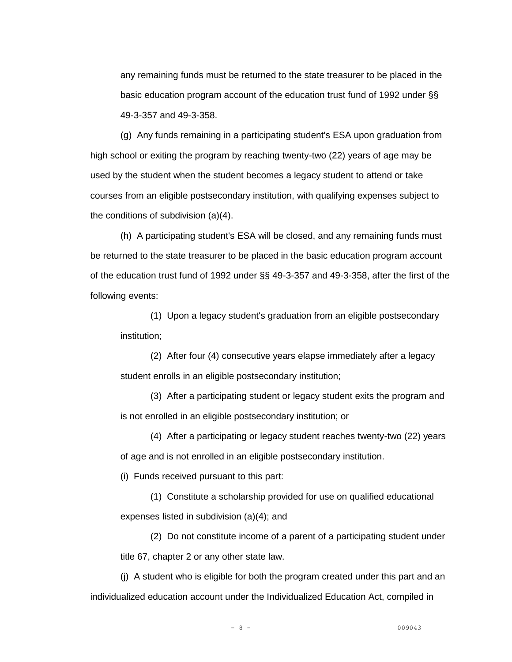any remaining funds must be returned to the state treasurer to be placed in the basic education program account of the education trust fund of 1992 under §§ 49-3-357 and 49-3-358.

(g) Any funds remaining in a participating student's ESA upon graduation from high school or exiting the program by reaching twenty-two (22) years of age may be used by the student when the student becomes a legacy student to attend or take courses from an eligible postsecondary institution, with qualifying expenses subject to the conditions of subdivision (a)(4).

(h) A participating student's ESA will be closed, and any remaining funds must be returned to the state treasurer to be placed in the basic education program account of the education trust fund of 1992 under §§ 49-3-357 and 49-3-358, after the first of the following events:

(1) Upon a legacy student's graduation from an eligible postsecondary institution;

(2) After four (4) consecutive years elapse immediately after a legacy student enrolls in an eligible postsecondary institution;

(3) After a participating student or legacy student exits the program and is not enrolled in an eligible postsecondary institution; or

(4) After a participating or legacy student reaches twenty-two (22) years of age and is not enrolled in an eligible postsecondary institution.

(i) Funds received pursuant to this part:

(1) Constitute a scholarship provided for use on qualified educational expenses listed in subdivision (a)(4); and

(2) Do not constitute income of a parent of a participating student under title 67, chapter 2 or any other state law.

(j) A student who is eligible for both the program created under this part and an individualized education account under the Individualized Education Act, compiled in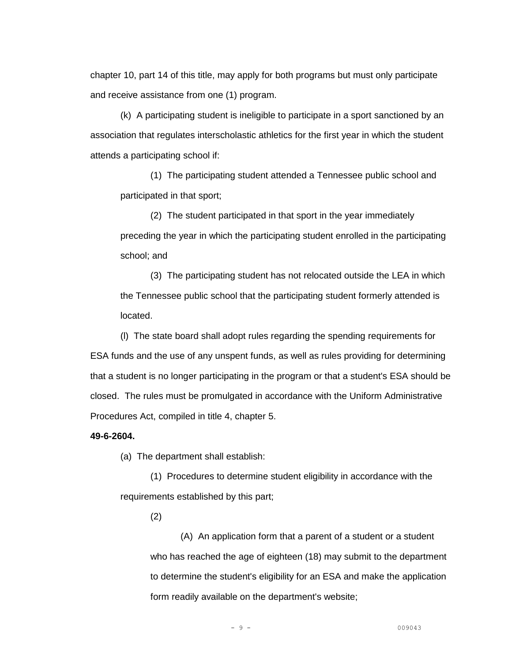chapter 10, part 14 of this title, may apply for both programs but must only participate and receive assistance from one (1) program.

(k) A participating student is ineligible to participate in a sport sanctioned by an association that regulates interscholastic athletics for the first year in which the student attends a participating school if:

(1) The participating student attended a Tennessee public school and participated in that sport;

(2) The student participated in that sport in the year immediately preceding the year in which the participating student enrolled in the participating school; and

(3) The participating student has not relocated outside the LEA in which the Tennessee public school that the participating student formerly attended is located.

(l) The state board shall adopt rules regarding the spending requirements for ESA funds and the use of any unspent funds, as well as rules providing for determining that a student is no longer participating in the program or that a student's ESA should be closed. The rules must be promulgated in accordance with the Uniform Administrative Procedures Act, compiled in title 4, chapter 5.

## **49-6-2604.**

(a) The department shall establish:

(1) Procedures to determine student eligibility in accordance with the requirements established by this part;

(2)

(A) An application form that a parent of a student or a student who has reached the age of eighteen (18) may submit to the department to determine the student's eligibility for an ESA and make the application form readily available on the department's website;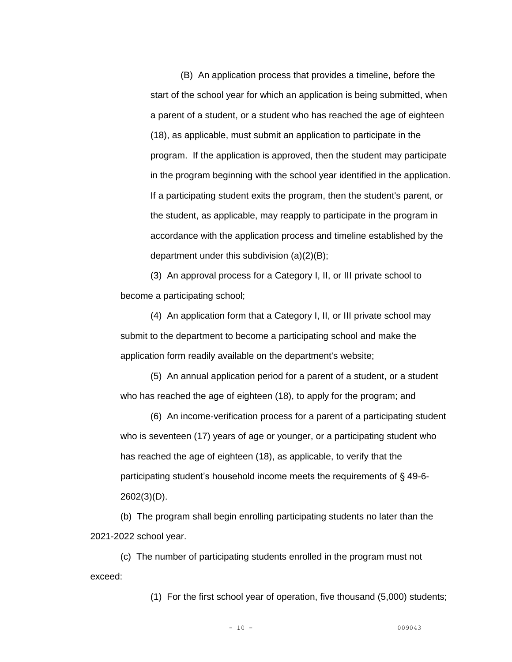(B) An application process that provides a timeline, before the start of the school year for which an application is being submitted, when a parent of a student, or a student who has reached the age of eighteen (18), as applicable, must submit an application to participate in the program. If the application is approved, then the student may participate in the program beginning with the school year identified in the application. If a participating student exits the program, then the student's parent, or the student, as applicable, may reapply to participate in the program in accordance with the application process and timeline established by the department under this subdivision (a)(2)(B);

(3) An approval process for a Category I, II, or III private school to become a participating school;

(4) An application form that a Category I, II, or III private school may submit to the department to become a participating school and make the application form readily available on the department's website;

(5) An annual application period for a parent of a student, or a student who has reached the age of eighteen (18), to apply for the program; and

(6) An income-verification process for a parent of a participating student who is seventeen (17) years of age or younger, or a participating student who has reached the age of eighteen (18), as applicable, to verify that the participating student's household income meets the requirements of § 49-6- 2602(3)(D).

(b) The program shall begin enrolling participating students no later than the 2021-2022 school year.

(c) The number of participating students enrolled in the program must not exceed:

(1) For the first school year of operation, five thousand (5,000) students;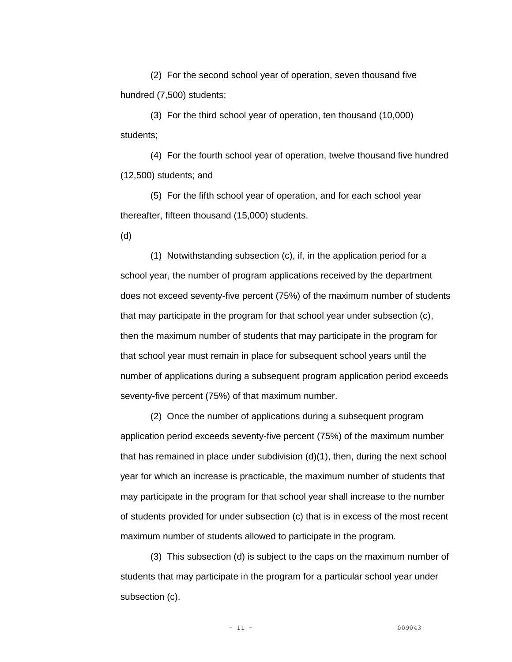(2) For the second school year of operation, seven thousand five hundred (7,500) students;

(3) For the third school year of operation, ten thousand (10,000) students;

(4) For the fourth school year of operation, twelve thousand five hundred (12,500) students; and

(5) For the fifth school year of operation, and for each school year thereafter, fifteen thousand (15,000) students.

(d)

(1) Notwithstanding subsection (c), if, in the application period for a school year, the number of program applications received by the department does not exceed seventy-five percent (75%) of the maximum number of students that may participate in the program for that school year under subsection (c), then the maximum number of students that may participate in the program for that school year must remain in place for subsequent school years until the number of applications during a subsequent program application period exceeds seventy-five percent (75%) of that maximum number.

(2) Once the number of applications during a subsequent program application period exceeds seventy-five percent (75%) of the maximum number that has remained in place under subdivision (d)(1), then, during the next school year for which an increase is practicable, the maximum number of students that may participate in the program for that school year shall increase to the number of students provided for under subsection (c) that is in excess of the most recent maximum number of students allowed to participate in the program.

(3) This subsection (d) is subject to the caps on the maximum number of students that may participate in the program for a particular school year under subsection (c).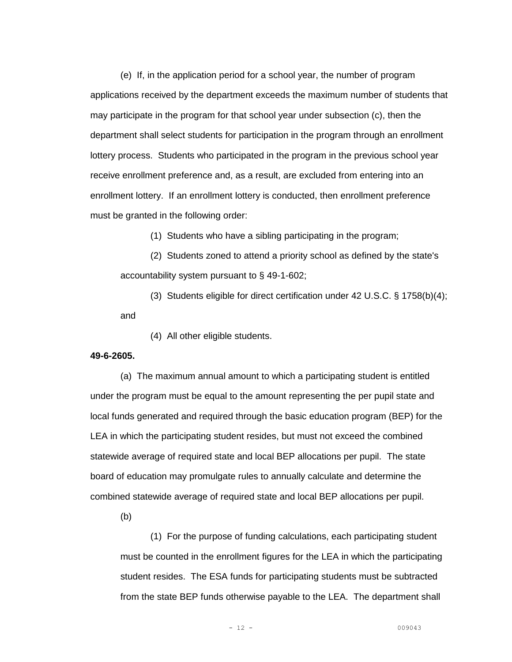(e) If, in the application period for a school year, the number of program applications received by the department exceeds the maximum number of students that may participate in the program for that school year under subsection (c), then the department shall select students for participation in the program through an enrollment lottery process. Students who participated in the program in the previous school year receive enrollment preference and, as a result, are excluded from entering into an enrollment lottery. If an enrollment lottery is conducted, then enrollment preference must be granted in the following order:

(1) Students who have a sibling participating in the program;

(2) Students zoned to attend a priority school as defined by the state's accountability system pursuant to § 49-1-602;

(3) Students eligible for direct certification under 42 U.S.C. § 1758(b)(4); and

(4) All other eligible students.

### **49-6-2605.**

(a) The maximum annual amount to which a participating student is entitled under the program must be equal to the amount representing the per pupil state and local funds generated and required through the basic education program (BEP) for the LEA in which the participating student resides, but must not exceed the combined statewide average of required state and local BEP allocations per pupil. The state board of education may promulgate rules to annually calculate and determine the combined statewide average of required state and local BEP allocations per pupil.

(b)

(1) For the purpose of funding calculations, each participating student must be counted in the enrollment figures for the LEA in which the participating student resides. The ESA funds for participating students must be subtracted from the state BEP funds otherwise payable to the LEA. The department shall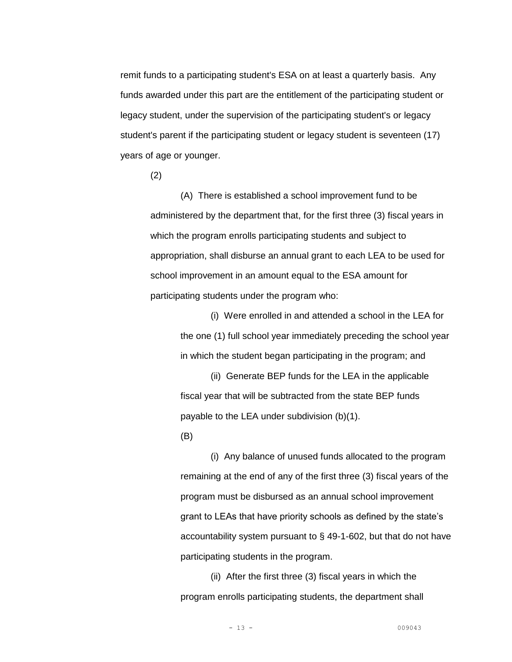remit funds to a participating student's ESA on at least a quarterly basis. Any funds awarded under this part are the entitlement of the participating student or legacy student, under the supervision of the participating student's or legacy student's parent if the participating student or legacy student is seventeen (17) years of age or younger.

(2)

(A) There is established a school improvement fund to be administered by the department that, for the first three (3) fiscal years in which the program enrolls participating students and subject to appropriation, shall disburse an annual grant to each LEA to be used for school improvement in an amount equal to the ESA amount for participating students under the program who:

> (i) Were enrolled in and attended a school in the LEA for the one (1) full school year immediately preceding the school year in which the student began participating in the program; and

(ii) Generate BEP funds for the LEA in the applicable fiscal year that will be subtracted from the state BEP funds payable to the LEA under subdivision (b)(1).

(B)

(i) Any balance of unused funds allocated to the program remaining at the end of any of the first three (3) fiscal years of the program must be disbursed as an annual school improvement grant to LEAs that have priority schools as defined by the state's accountability system pursuant to § 49-1-602, but that do not have participating students in the program.

(ii) After the first three (3) fiscal years in which the program enrolls participating students, the department shall

- 13 - 009043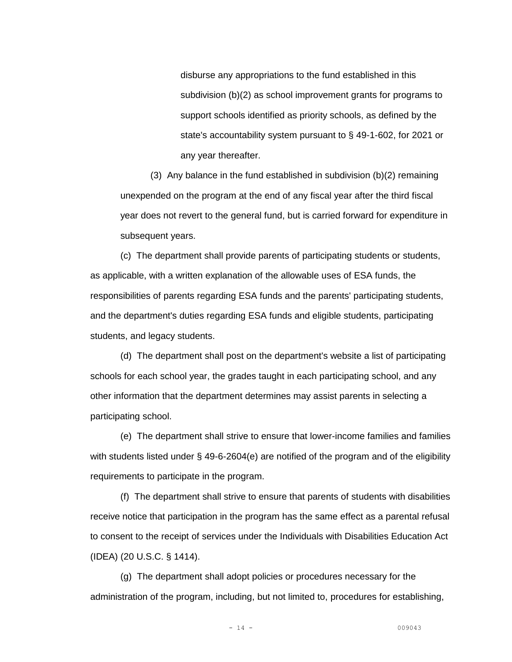disburse any appropriations to the fund established in this subdivision (b)(2) as school improvement grants for programs to support schools identified as priority schools, as defined by the state's accountability system pursuant to § 49-1-602, for 2021 or any year thereafter.

(3) Any balance in the fund established in subdivision (b)(2) remaining unexpended on the program at the end of any fiscal year after the third fiscal year does not revert to the general fund, but is carried forward for expenditure in subsequent years.

(c) The department shall provide parents of participating students or students, as applicable, with a written explanation of the allowable uses of ESA funds, the responsibilities of parents regarding ESA funds and the parents' participating students, and the department's duties regarding ESA funds and eligible students, participating students, and legacy students.

(d) The department shall post on the department's website a list of participating schools for each school year, the grades taught in each participating school, and any other information that the department determines may assist parents in selecting a participating school.

(e) The department shall strive to ensure that lower-income families and families with students listed under § 49-6-2604(e) are notified of the program and of the eligibility requirements to participate in the program.

(f) The department shall strive to ensure that parents of students with disabilities receive notice that participation in the program has the same effect as a parental refusal to consent to the receipt of services under the Individuals with Disabilities Education Act (IDEA) (20 U.S.C. § 1414).

(g) The department shall adopt policies or procedures necessary for the administration of the program, including, but not limited to, procedures for establishing,

- 14 - 009043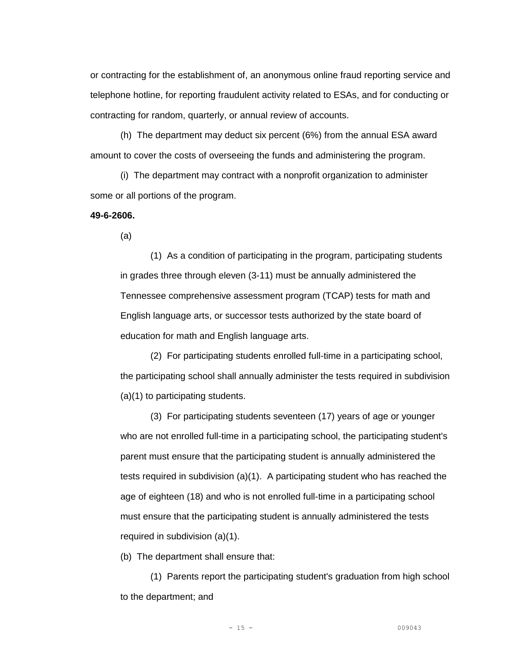or contracting for the establishment of, an anonymous online fraud reporting service and telephone hotline, for reporting fraudulent activity related to ESAs, and for conducting or contracting for random, quarterly, or annual review of accounts.

(h) The department may deduct six percent (6%) from the annual ESA award amount to cover the costs of overseeing the funds and administering the program.

(i) The department may contract with a nonprofit organization to administer some or all portions of the program.

### **49-6-2606.**

(a)

(1) As a condition of participating in the program, participating students in grades three through eleven (3-11) must be annually administered the Tennessee comprehensive assessment program (TCAP) tests for math and English language arts, or successor tests authorized by the state board of education for math and English language arts.

(2) For participating students enrolled full-time in a participating school, the participating school shall annually administer the tests required in subdivision (a)(1) to participating students.

(3) For participating students seventeen (17) years of age or younger who are not enrolled full-time in a participating school, the participating student's parent must ensure that the participating student is annually administered the tests required in subdivision (a)(1). A participating student who has reached the age of eighteen (18) and who is not enrolled full-time in a participating school must ensure that the participating student is annually administered the tests required in subdivision (a)(1).

(b) The department shall ensure that:

(1) Parents report the participating student's graduation from high school to the department; and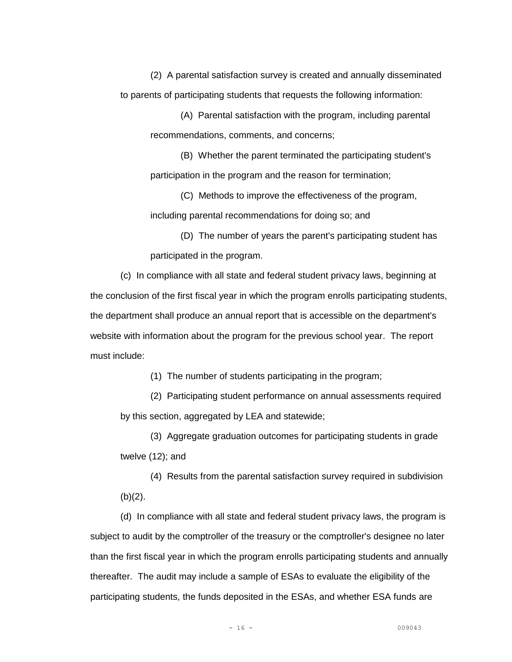(2) A parental satisfaction survey is created and annually disseminated to parents of participating students that requests the following information:

(A) Parental satisfaction with the program, including parental recommendations, comments, and concerns;

(B) Whether the parent terminated the participating student's participation in the program and the reason for termination;

(C) Methods to improve the effectiveness of the program, including parental recommendations for doing so; and

(D) The number of years the parent's participating student has participated in the program.

(c) In compliance with all state and federal student privacy laws, beginning at the conclusion of the first fiscal year in which the program enrolls participating students, the department shall produce an annual report that is accessible on the department's website with information about the program for the previous school year. The report must include:

(1) The number of students participating in the program;

(2) Participating student performance on annual assessments required by this section, aggregated by LEA and statewide;

(3) Aggregate graduation outcomes for participating students in grade twelve (12); and

(4) Results from the parental satisfaction survey required in subdivision  $(b)(2)$ .

(d) In compliance with all state and federal student privacy laws, the program is subject to audit by the comptroller of the treasury or the comptroller's designee no later than the first fiscal year in which the program enrolls participating students and annually thereafter. The audit may include a sample of ESAs to evaluate the eligibility of the participating students, the funds deposited in the ESAs, and whether ESA funds are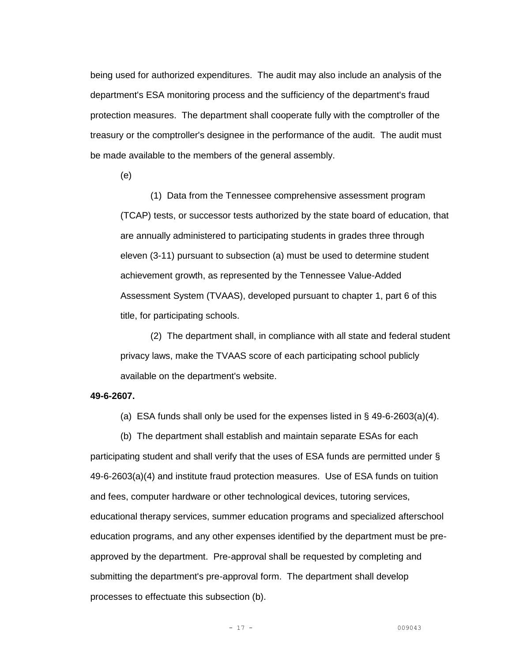being used for authorized expenditures. The audit may also include an analysis of the department's ESA monitoring process and the sufficiency of the department's fraud protection measures. The department shall cooperate fully with the comptroller of the treasury or the comptroller's designee in the performance of the audit. The audit must be made available to the members of the general assembly.

(e)

(1) Data from the Tennessee comprehensive assessment program (TCAP) tests, or successor tests authorized by the state board of education, that are annually administered to participating students in grades three through eleven (3-11) pursuant to subsection (a) must be used to determine student achievement growth, as represented by the Tennessee Value-Added Assessment System (TVAAS), developed pursuant to chapter 1, part 6 of this title, for participating schools.

(2) The department shall, in compliance with all state and federal student privacy laws, make the TVAAS score of each participating school publicly available on the department's website.

## **49-6-2607.**

(a) ESA funds shall only be used for the expenses listed in  $\S$  49-6-2603(a)(4).

(b) The department shall establish and maintain separate ESAs for each

participating student and shall verify that the uses of ESA funds are permitted under § 49-6-2603(a)(4) and institute fraud protection measures. Use of ESA funds on tuition and fees, computer hardware or other technological devices, tutoring services, educational therapy services, summer education programs and specialized afterschool education programs, and any other expenses identified by the department must be preapproved by the department. Pre-approval shall be requested by completing and submitting the department's pre-approval form. The department shall develop processes to effectuate this subsection (b).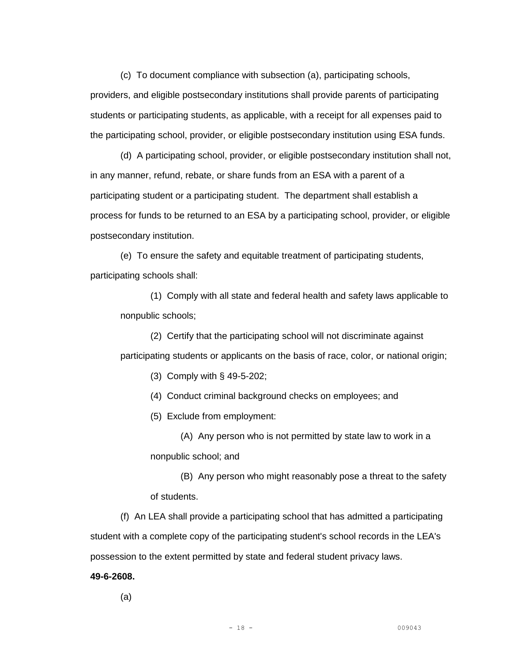(c) To document compliance with subsection (a), participating schools, providers, and eligible postsecondary institutions shall provide parents of participating students or participating students, as applicable, with a receipt for all expenses paid to the participating school, provider, or eligible postsecondary institution using ESA funds.

(d) A participating school, provider, or eligible postsecondary institution shall not, in any manner, refund, rebate, or share funds from an ESA with a parent of a participating student or a participating student. The department shall establish a process for funds to be returned to an ESA by a participating school, provider, or eligible postsecondary institution.

(e) To ensure the safety and equitable treatment of participating students, participating schools shall:

(1) Comply with all state and federal health and safety laws applicable to nonpublic schools;

(2) Certify that the participating school will not discriminate against participating students or applicants on the basis of race, color, or national origin;

(3) Comply with § 49-5-202;

(4) Conduct criminal background checks on employees; and

(5) Exclude from employment:

(A) Any person who is not permitted by state law to work in a nonpublic school; and

(B) Any person who might reasonably pose a threat to the safety of students.

(f) An LEA shall provide a participating school that has admitted a participating student with a complete copy of the participating student's school records in the LEA's possession to the extent permitted by state and federal student privacy laws.

# **49-6-2608.**

(a)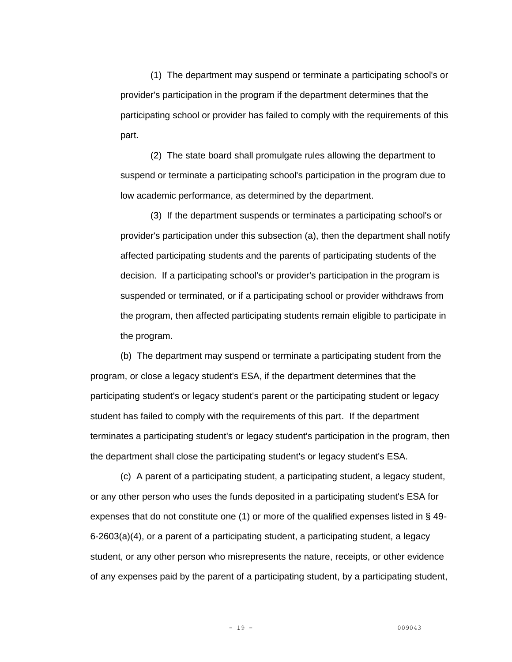(1) The department may suspend or terminate a participating school's or provider's participation in the program if the department determines that the participating school or provider has failed to comply with the requirements of this part.

(2) The state board shall promulgate rules allowing the department to suspend or terminate a participating school's participation in the program due to low academic performance, as determined by the department.

(3) If the department suspends or terminates a participating school's or provider's participation under this subsection (a), then the department shall notify affected participating students and the parents of participating students of the decision. If a participating school's or provider's participation in the program is suspended or terminated, or if a participating school or provider withdraws from the program, then affected participating students remain eligible to participate in the program.

(b) The department may suspend or terminate a participating student from the program, or close a legacy student's ESA, if the department determines that the participating student's or legacy student's parent or the participating student or legacy student has failed to comply with the requirements of this part. If the department terminates a participating student's or legacy student's participation in the program, then the department shall close the participating student's or legacy student's ESA.

(c) A parent of a participating student, a participating student, a legacy student, or any other person who uses the funds deposited in a participating student's ESA for expenses that do not constitute one (1) or more of the qualified expenses listed in § 49- 6-2603(a)(4), or a parent of a participating student, a participating student, a legacy student, or any other person who misrepresents the nature, receipts, or other evidence of any expenses paid by the parent of a participating student, by a participating student,

- 19 - 009043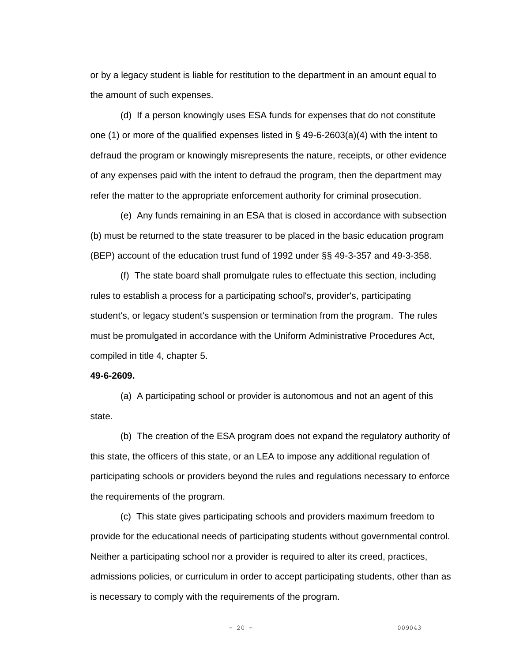or by a legacy student is liable for restitution to the department in an amount equal to the amount of such expenses.

(d) If a person knowingly uses ESA funds for expenses that do not constitute one (1) or more of the qualified expenses listed in § 49-6-2603(a)(4) with the intent to defraud the program or knowingly misrepresents the nature, receipts, or other evidence of any expenses paid with the intent to defraud the program, then the department may refer the matter to the appropriate enforcement authority for criminal prosecution.

(e) Any funds remaining in an ESA that is closed in accordance with subsection (b) must be returned to the state treasurer to be placed in the basic education program (BEP) account of the education trust fund of 1992 under §§ 49-3-357 and 49-3-358.

(f) The state board shall promulgate rules to effectuate this section, including rules to establish a process for a participating school's, provider's, participating student's, or legacy student's suspension or termination from the program. The rules must be promulgated in accordance with the Uniform Administrative Procedures Act, compiled in title 4, chapter 5.

### **49-6-2609.**

(a) A participating school or provider is autonomous and not an agent of this state.

(b) The creation of the ESA program does not expand the regulatory authority of this state, the officers of this state, or an LEA to impose any additional regulation of participating schools or providers beyond the rules and regulations necessary to enforce the requirements of the program.

(c) This state gives participating schools and providers maximum freedom to provide for the educational needs of participating students without governmental control. Neither a participating school nor a provider is required to alter its creed, practices, admissions policies, or curriculum in order to accept participating students, other than as is necessary to comply with the requirements of the program.

- 20 - 009043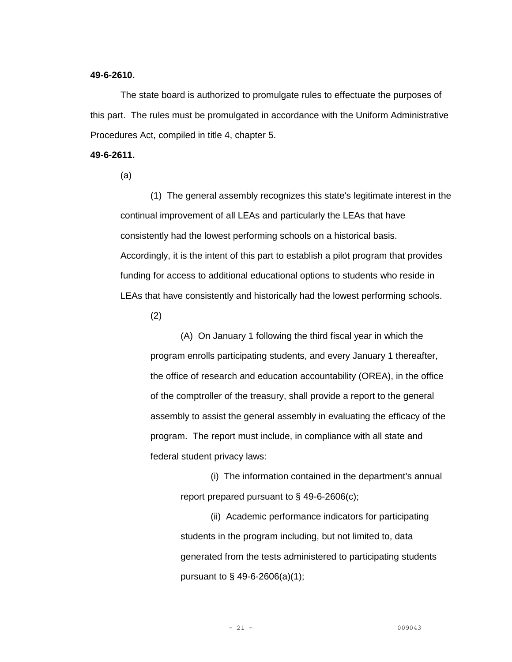## **49-6-2610.**

The state board is authorized to promulgate rules to effectuate the purposes of this part. The rules must be promulgated in accordance with the Uniform Administrative Procedures Act, compiled in title 4, chapter 5.

### **49-6-2611.**

(a)

(1) The general assembly recognizes this state's legitimate interest in the continual improvement of all LEAs and particularly the LEAs that have consistently had the lowest performing schools on a historical basis. Accordingly, it is the intent of this part to establish a pilot program that provides funding for access to additional educational options to students who reside in LEAs that have consistently and historically had the lowest performing schools.

(2)

(A) On January 1 following the third fiscal year in which the program enrolls participating students, and every January 1 thereafter, the office of research and education accountability (OREA), in the office of the comptroller of the treasury, shall provide a report to the general assembly to assist the general assembly in evaluating the efficacy of the program. The report must include, in compliance with all state and federal student privacy laws:

> (i) The information contained in the department's annual report prepared pursuant to § 49-6-2606(c);

(ii) Academic performance indicators for participating students in the program including, but not limited to, data generated from the tests administered to participating students pursuant to § 49-6-2606(a)(1);

$$
-21 =
$$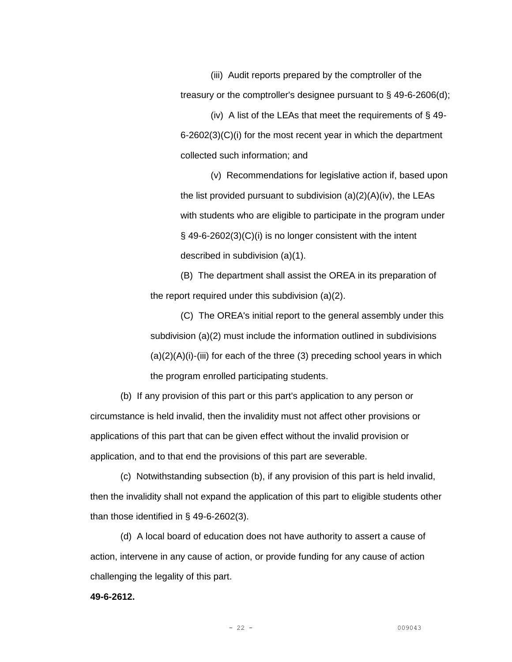(iii) Audit reports prepared by the comptroller of the treasury or the comptroller's designee pursuant to § 49-6-2606(d);

(iv) A list of the LEAs that meet the requirements of § 49- 6-2602(3)(C)(i) for the most recent year in which the department collected such information; and

(v) Recommendations for legislative action if, based upon the list provided pursuant to subdivision (a)(2)(A)(iv), the LEAs with students who are eligible to participate in the program under § 49-6-2602(3)(C)(i) is no longer consistent with the intent described in subdivision (a)(1).

(B) The department shall assist the OREA in its preparation of the report required under this subdivision (a)(2).

(C) The OREA's initial report to the general assembly under this subdivision (a)(2) must include the information outlined in subdivisions  $(a)(2)(A)(i)$ -(iii) for each of the three (3) preceding school years in which the program enrolled participating students.

(b) If any provision of this part or this part's application to any person or circumstance is held invalid, then the invalidity must not affect other provisions or applications of this part that can be given effect without the invalid provision or application, and to that end the provisions of this part are severable.

(c) Notwithstanding subsection (b), if any provision of this part is held invalid, then the invalidity shall not expand the application of this part to eligible students other than those identified in § 49-6-2602(3).

(d) A local board of education does not have authority to assert a cause of action, intervene in any cause of action, or provide funding for any cause of action challenging the legality of this part.

### **49-6-2612.**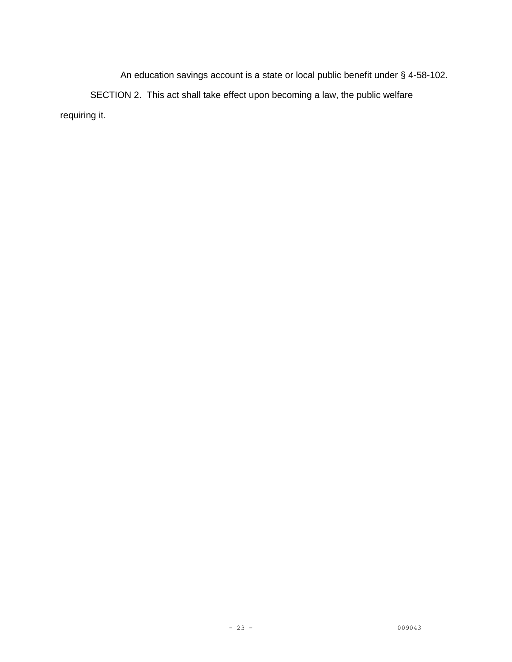An education savings account is a state or local public benefit under § 4-58-102.

SECTION 2. This act shall take effect upon becoming a law, the public welfare requiring it.